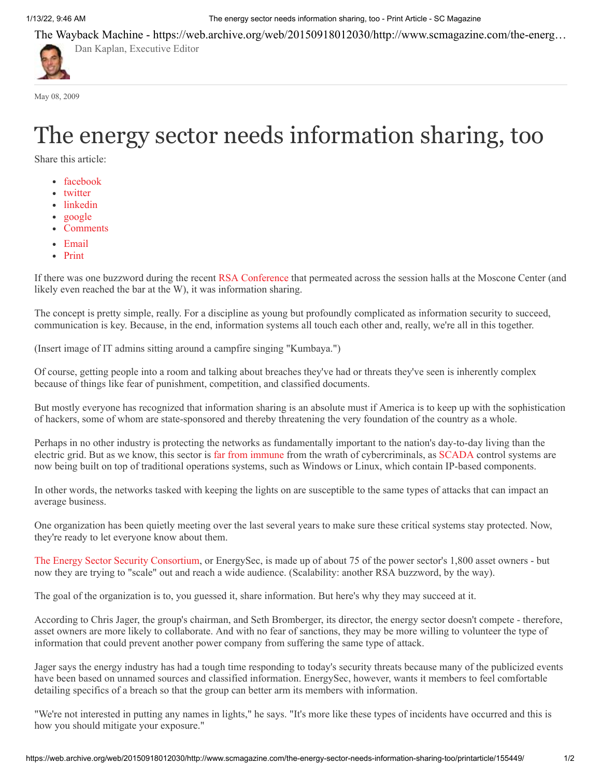1/13/22, 9:46 AM The energy sector needs information sharing, too - Print Article - SC Magazine

The Wayback Machine - https://web.archive.org/web/20150918012030/http://www.scmagazine.com/the-energ…

May 08, 2009

## The energy sector needs information sharing, too

Share this article:

• [facebook](https://web.archive.org/web/20150918012030/https://www.facebook.com/sharer/sharer.php)

[Dan Kaplan, Executive Editor](https://web.archive.org/web/20150918012030/http://www.scmagazine.com/dan-kaplan/author/85/)

- [twitter](https://web.archive.org/web/20150918012030/https://twitter.com/share)
- linkedin
- [google](https://web.archive.org/web/20150918012030/https://plus.google.com/share)
- Comments
- [Email](javascript:void(0))
- [Print](https://web.archive.org/web/20150918012030/http://www.scmagazine.com/the-energy-sector-needs-information-sharing-too/printarticle/155449/)

If there was one buzzword during the recent [RSA Conference](https://web.archive.org/web/20150918012030/http://www.scmagazineus.com/RSA-Conference-2009/section/937/) that permeated across the session halls at the Moscone Center (and likely even reached the bar at the W), it was information sharing.

The concept is pretty simple, really. For a discipline as young but profoundly complicated as information security to succeed, communication is key. Because, in the end, information systems all touch each other and, really, we're all in this together.

(Insert image of IT admins sitting around a campfire singing "Kumbaya.")

Of course, getting people into a room and talking about breaches they've had or threats they've seen is inherently complex because of things like fear of punishment, competition, and classified documents.

But mostly everyone has recognized that information sharing is an absolute must if America is to keep up with the sophistication of hackers, some of whom are state-sponsored and thereby threatening the very foundation of the country as a whole.

Perhaps in no other industry is protecting the networks as fundamentally important to the nation's day-to-day living than the electric grid. But as we know, this sector is [far from immune](https://web.archive.org/web/20150918012030/http://www.scmagazineus.com/Report-US-power-grid-hit-by-hackers/article/130373/) from the wrath of cybercriminals, as [SCADA](https://web.archive.org/web/20150918012030/http://www.scmagazineus.com/search/SCADA/) control systems are now being built on top of traditional operations systems, such as Windows or Linux, which contain IP-based components.

In other words, the networks tasked with keeping the lights on are susceptible to the same types of attacks that can impact an average business.

One organization has been quietly meeting over the last several years to make sure these critical systems stay protected. Now, they're ready to let everyone know about them.

[The Energy Sector Security Consortium](https://web.archive.org/web/20150918012030/http://energysec.org/EnergySec/Welcome.html), or EnergySec, is made up of about 75 of the power sector's 1,800 asset owners - but now they are trying to "scale" out and reach a wide audience. (Scalability: another RSA buzzword, by the way).

The goal of the organization is to, you guessed it, share information. But here's why they may succeed at it.

According to Chris Jager, the group's chairman, and Seth Bromberger, its director, the energy sector doesn't compete - therefore, asset owners are more likely to collaborate. And with no fear of sanctions, they may be more willing to volunteer the type of information that could prevent another power company from suffering the same type of attack.

Jager says the energy industry has had a tough time responding to today's security threats because many of the publicized events have been based on unnamed sources and classified information. EnergySec, however, wants it members to feel comfortable detailing specifics of a breach so that the group can better arm its members with information.

"We're not interested in putting any names in lights," he says. "It's more like these types of incidents have occurred and this is how you should mitigate your exposure."